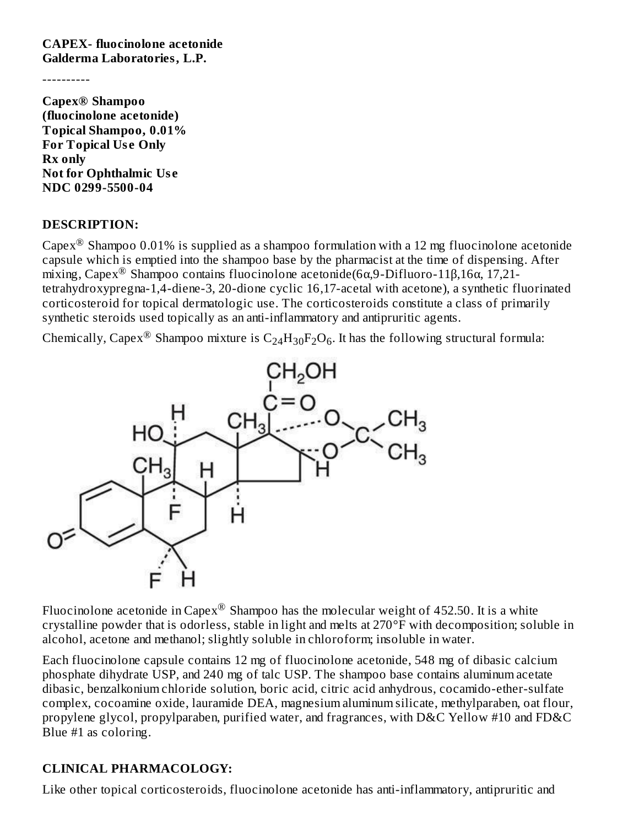**CAPEX- fluocinolone acetonide Galderma Laboratories, L.P.**

----------

**Capex® Shampoo (fluocinolone acetonide) Topical Shampoo, 0.01% For Topical Us e Only Rx only Not for Ophthalmic Us e NDC 0299-5500-04**

#### **DESCRIPTION:**

Capex<sup>®</sup> Shampoo 0.01% is supplied as a shampoo formulation with a 12 mg fluocinolone acetonide capsule which is emptied into the shampoo base by the pharmacist at the time of dispensing. After mixing, Capex<sup>®</sup> Shampoo contains fluocinolone acetonide(6α,9-Difluoro-11β,16α, 17,21tetrahydroxypregna-1,4-diene-3, 20-dione cyclic 16,17-acetal with acetone), a synthetic fluorinated corticosteroid for topical dermatologic use. The corticosteroids constitute a class of primarily synthetic steroids used topically as an anti-inflammatory and antipruritic agents.

Chemically, Capex $^{\circledR}$  Shampoo mixture is  $\rm{C_{24}H_{30}F_{2}O_6}$ . It has the following structural formula:



Fluocinolone acetonide in Capex $^\circledR$  Shampoo has the molecular weight of 452.50. It is a white crystalline powder that is odorless, stable in light and melts at 270°F with decomposition; soluble in alcohol, acetone and methanol; slightly soluble in chloroform; insoluble in water.

Each fluocinolone capsule contains 12 mg of fluocinolone acetonide, 548 mg of dibasic calcium phosphate dihydrate USP, and 240 mg of talc USP. The shampoo base contains aluminum acetate dibasic, benzalkonium chloride solution, boric acid, citric acid anhydrous, cocamido-ether-sulfate complex, cocoamine oxide, lauramide DEA, magnesium aluminum silicate, methylparaben, oat flour, propylene glycol, propylparaben, purified water, and fragrances, with D&C Yellow #10 and FD&C Blue #1 as coloring.

### **CLINICAL PHARMACOLOGY:**

Like other topical corticosteroids, fluocinolone acetonide has anti-inflammatory, antipruritic and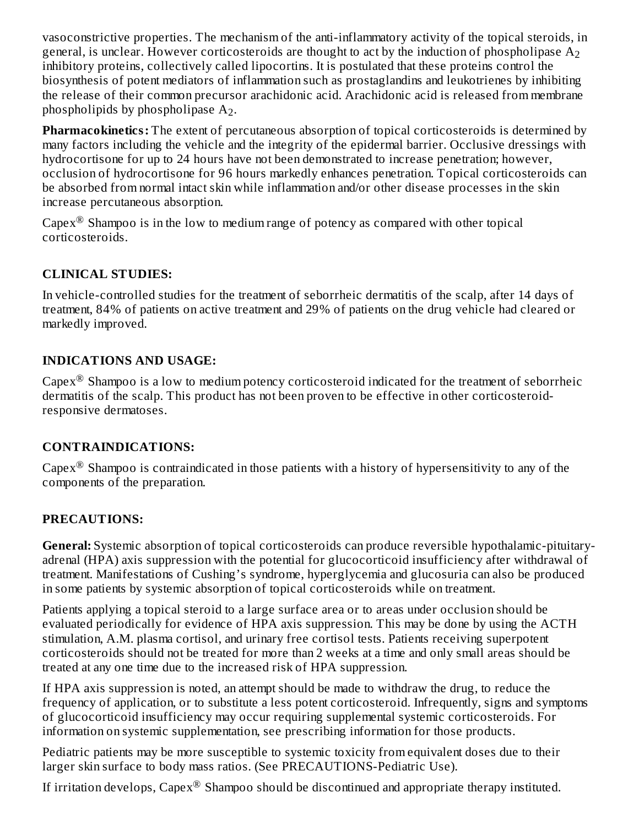vasoconstrictive properties. The mechanism of the anti-inflammatory activity of the topical steroids, in general, is unclear. However corticosteroids are thought to act by the induction of phospholipase  $\rm A_{2}$ inhibitory proteins, collectively called lipocortins. It is postulated that these proteins control the biosynthesis of potent mediators of inflammation such as prostaglandins and leukotrienes by inhibiting the release of their common precursor arachidonic acid. Arachidonic acid is released from membrane phospholipids by phospholipase  $A_2$ .

**Pharmacokinetics:** The extent of percutaneous absorption of topical corticosteroids is determined by many factors including the vehicle and the integrity of the epidermal barrier. Occlusive dressings with hydrocortisone for up to 24 hours have not been demonstrated to increase penetration; however, occlusion of hydrocortisone for 96 hours markedly enhances penetration. Topical corticosteroids can be absorbed from normal intact skin while inflammation and/or other disease processes in the skin increase percutaneous absorption.

Capex $^{\circledR}$  Shampoo is in the low to medium range of potency as compared with other topical corticosteroids.

## **CLINICAL STUDIES:**

In vehicle-controlled studies for the treatment of seborrheic dermatitis of the scalp, after 14 days of treatment, 84% of patients on active treatment and 29% of patients on the drug vehicle had cleared or markedly improved.

### **INDICATIONS AND USAGE:**

Capex<sup>®</sup> Shampoo is a low to medium potency corticosteroid indicated for the treatment of seborrheic dermatitis of the scalp. This product has not been proven to be effective in other corticosteroidresponsive dermatoses.

### **CONTRAINDICATIONS:**

Capex<sup>®</sup> Shampoo is contraindicated in those patients with a history of hypersensitivity to any of the components of the preparation.

## **PRECAUTIONS:**

**General:** Systemic absorption of topical corticosteroids can produce reversible hypothalamic-pituitaryadrenal (HPA) axis suppression with the potential for glucocorticoid insufficiency after withdrawal of treatment. Manifestations of Cushing's syndrome, hyperglycemia and glucosuria can also be produced in some patients by systemic absorption of topical corticosteroids while on treatment.

Patients applying a topical steroid to a large surface area or to areas under occlusion should be evaluated periodically for evidence of HPA axis suppression. This may be done by using the ACTH stimulation, A.M. plasma cortisol, and urinary free cortisol tests. Patients receiving superpotent corticosteroids should not be treated for more than 2 weeks at a time and only small areas should be treated at any one time due to the increased risk of HPA suppression.

If HPA axis suppression is noted, an attempt should be made to withdraw the drug, to reduce the frequency of application, or to substitute a less potent corticosteroid. Infrequently, signs and symptoms of glucocorticoid insufficiency may occur requiring supplemental systemic corticosteroids. For information on systemic supplementation, see prescribing information for those products.

Pediatric patients may be more susceptible to systemic toxicity from equivalent doses due to their larger skin surface to body mass ratios. (See PRECAUTIONS-Pediatric Use).

If irritation develops, Capex $^{\circledR}$  Shampoo should be discontinued and appropriate therapy instituted.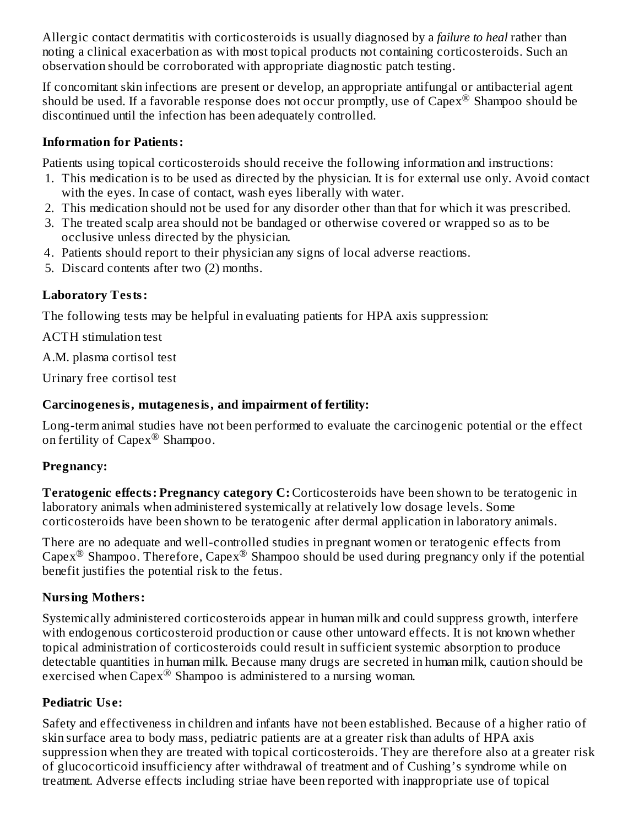Allergic contact dermatitis with corticosteroids is usually diagnosed by a *failure to heal* rather than noting a clinical exacerbation as with most topical products not containing corticosteroids. Such an observation should be corroborated with appropriate diagnostic patch testing.

If concomitant skin infections are present or develop, an appropriate antifungal or antibacterial agent should be used. If a favorable response does not occur promptly, use of Capex<sup>®</sup> Shampoo should be discontinued until the infection has been adequately controlled.

### **Information for Patients:**

Patients using topical corticosteroids should receive the following information and instructions:

- 1. This medication is to be used as directed by the physician. It is for external use only. Avoid contact with the eyes. In case of contact, wash eyes liberally with water.
- 2. This medication should not be used for any disorder other than that for which it was prescribed.
- 3. The treated scalp area should not be bandaged or otherwise covered or wrapped so as to be occlusive unless directed by the physician.
- 4. Patients should report to their physician any signs of local adverse reactions.
- 5. Discard contents after two (2) months.

### **Laboratory Tests:**

The following tests may be helpful in evaluating patients for HPA axis suppression:

ACTH stimulation test

A.M. plasma cortisol test

Urinary free cortisol test

### **Carcinogenesis, mutagenesis, and impairment of fertility:**

Long-term animal studies have not been performed to evaluate the carcinogenic potential or the effect on fertility of Capex $^{\circledR}$  Shampoo.

### **Pregnancy:**

**Teratogenic effects: Pregnancy category C:** Corticosteroids have been shown to be teratogenic in laboratory animals when administered systemically at relatively low dosage levels. Some corticosteroids have been shown to be teratogenic after dermal application in laboratory animals.

There are no adequate and well-controlled studies in pregnant women or teratogenic effects from Capex<sup>®</sup> Shampoo. Therefore, Capex<sup>®</sup> Shampoo should be used during pregnancy only if the potential benefit justifies the potential risk to the fetus.

### **Nursing Mothers:**

Systemically administered corticosteroids appear in human milk and could suppress growth, interfere with endogenous corticosteroid production or cause other untoward effects. It is not known whether topical administration of corticosteroids could result in sufficient systemic absorption to produce detectable quantities in human milk. Because many drugs are secreted in human milk, caution should be exercised when Capex $^{\circledR}$  Shampoo is administered to a nursing woman.

### **Pediatric Us e:**

Safety and effectiveness in children and infants have not been established. Because of a higher ratio of skin surface area to body mass, pediatric patients are at a greater risk than adults of HPA axis suppression when they are treated with topical corticosteroids. They are therefore also at a greater risk of glucocorticoid insufficiency after withdrawal of treatment and of Cushing's syndrome while on treatment. Adverse effects including striae have been reported with inappropriate use of topical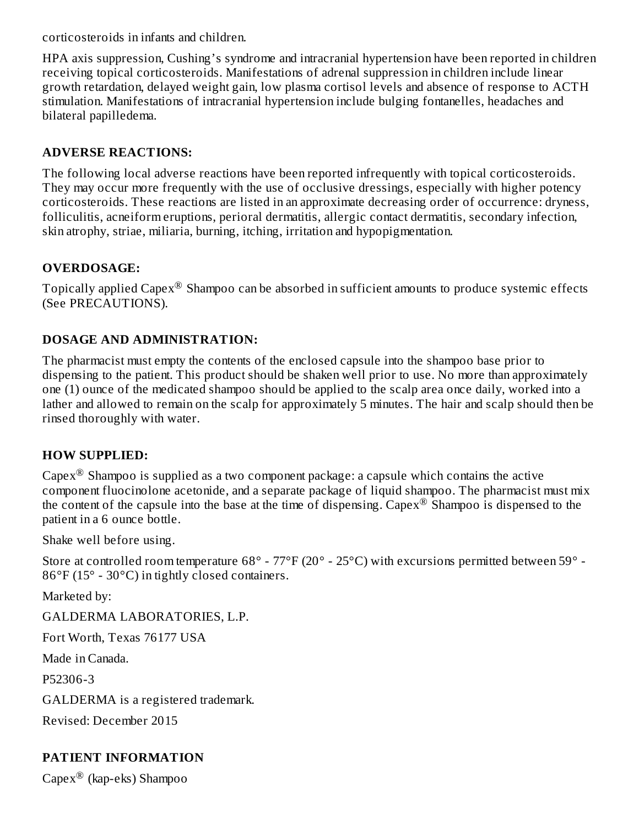corticosteroids in infants and children.

HPA axis suppression, Cushing's syndrome and intracranial hypertension have been reported in children receiving topical corticosteroids. Manifestations of adrenal suppression in children include linear growth retardation, delayed weight gain, low plasma cortisol levels and absence of response to ACTH stimulation. Manifestations of intracranial hypertension include bulging fontanelles, headaches and bilateral papilledema.

### **ADVERSE REACTIONS:**

The following local adverse reactions have been reported infrequently with topical corticosteroids. They may occur more frequently with the use of occlusive dressings, especially with higher potency corticosteroids. These reactions are listed in an approximate decreasing order of occurrence: dryness, folliculitis, acneiform eruptions, perioral dermatitis, allergic contact dermatitis, secondary infection, skin atrophy, striae, miliaria, burning, itching, irritation and hypopigmentation.

### **OVERDOSAGE:**

Topically applied Capex $^\circledR$  Shampoo can be absorbed in sufficient amounts to produce systemic effects (See PRECAUTIONS).

### **DOSAGE AND ADMINISTRATION:**

The pharmacist must empty the contents of the enclosed capsule into the shampoo base prior to dispensing to the patient. This product should be shaken well prior to use. No more than approximately one (1) ounce of the medicated shampoo should be applied to the scalp area once daily, worked into a lather and allowed to remain on the scalp for approximately 5 minutes. The hair and scalp should then be rinsed thoroughly with water.

### **HOW SUPPLIED:**

Capex $^{\circledR}$  Shampoo is supplied as a two component package: a capsule which contains the active component fluocinolone acetonide, and a separate package of liquid shampoo. The pharmacist must mix the content of the capsule into the base at the time of dispensing. Capex<sup>®</sup> Shampoo is dispensed to the patient in a 6 ounce bottle.

Shake well before using.

Store at controlled room temperature 68° - 77°F (20° - 25°C) with excursions permitted between 59° - 86°F (15° - 30°C) in tightly closed containers.

Marketed by:

GALDERMA LABORATORIES, L.P.

Fort Worth, Texas 76177 USA

Made in Canada.

P52306-3

GALDERMA is a registered trademark.

Revised: December 2015

## **PATIENT INFORMATION**

 $\mathrm{Capex}^{\circledR}$  (kap-eks) Shampoo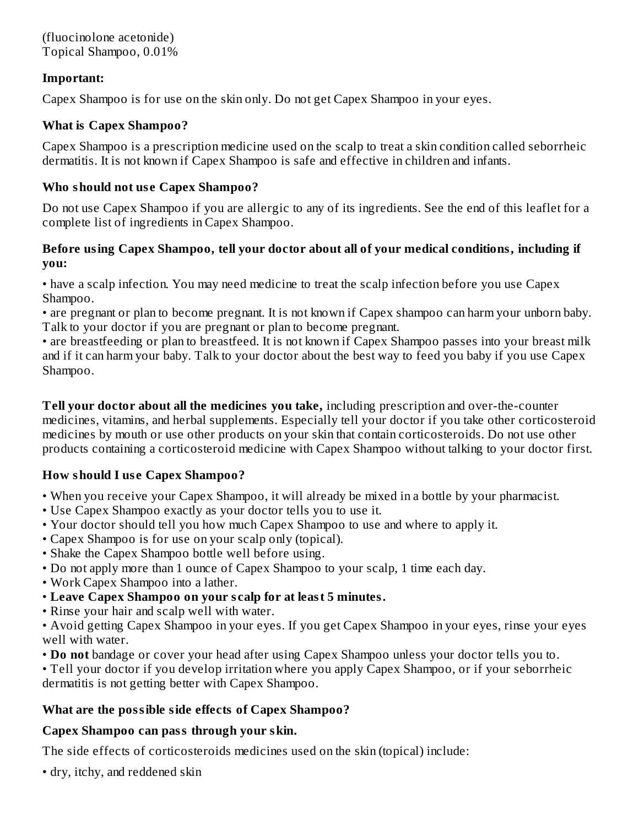(fluocinolone acetonide) Topical Shampoo, 0.01%

#### **Important:**

Capex Shampoo is for use on the skin only. Do not get Capex Shampoo in your eyes.

#### **What is Capex Shampoo?**

Capex Shampoo is a prescription medicine used on the scalp to treat a skin condition called seborrheic dermatitis. It is not known if Capex Shampoo is safe and effective in children and infants.

#### **Who should not us e Capex Shampoo?**

Do not use Capex Shampoo if you are allergic to any of its ingredients. See the end of this leaflet for a complete list of ingredients in Capex Shampoo.

#### **Before using Capex Shampoo, tell your doctor about all of your medical conditions, including if you:**

• have a scalp infection. You may need medicine to treat the scalp infection before you use Capex Shampoo.

• are pregnant or plan to become pregnant. It is not known if Capex shampoo can harm your unborn baby. Talk to your doctor if you are pregnant or plan to become pregnant.

• are breastfeeding or plan to breastfeed. It is not known if Capex Shampoo passes into your breast milk and if it can harm your baby. Talk to your doctor about the best way to feed you baby if you use Capex Shampoo.

**Tell your doctor about all the medicines you take,** including prescription and over-the-counter medicines, vitamins, and herbal supplements. Especially tell your doctor if you take other corticosteroid medicines by mouth or use other products on your skin that contain corticosteroids. Do not use other products containing a corticosteroid medicine with Capex Shampoo without talking to your doctor first.

### **How should I us e Capex Shampoo?**

- When you receive your Capex Shampoo, it will already be mixed in a bottle by your pharmacist.
- Use Capex Shampoo exactly as your doctor tells you to use it.
- Your doctor should tell you how much Capex Shampoo to use and where to apply it.
- Capex Shampoo is for use on your scalp only (topical).
- Shake the Capex Shampoo bottle well before using.
- Do not apply more than 1 ounce of Capex Shampoo to your scalp, 1 time each day.
- Work Capex Shampoo into a lather.
- **Leave Capex Shampoo on your s calp for at least 5 minutes.**
- Rinse your hair and scalp well with water.

• Avoid getting Capex Shampoo in your eyes. If you get Capex Shampoo in your eyes, rinse your eyes well with water.

• **Do not** bandage or cover your head after using Capex Shampoo unless your doctor tells you to.

• Tell your doctor if you develop irritation where you apply Capex Shampoo, or if your seborrheic dermatitis is not getting better with Capex Shampoo.

### **What are the possible side effects of Capex Shampoo?**

### **Capex Shampoo can pass through your skin.**

The side effects of corticosteroids medicines used on the skin (topical) include:

• dry, itchy, and reddened skin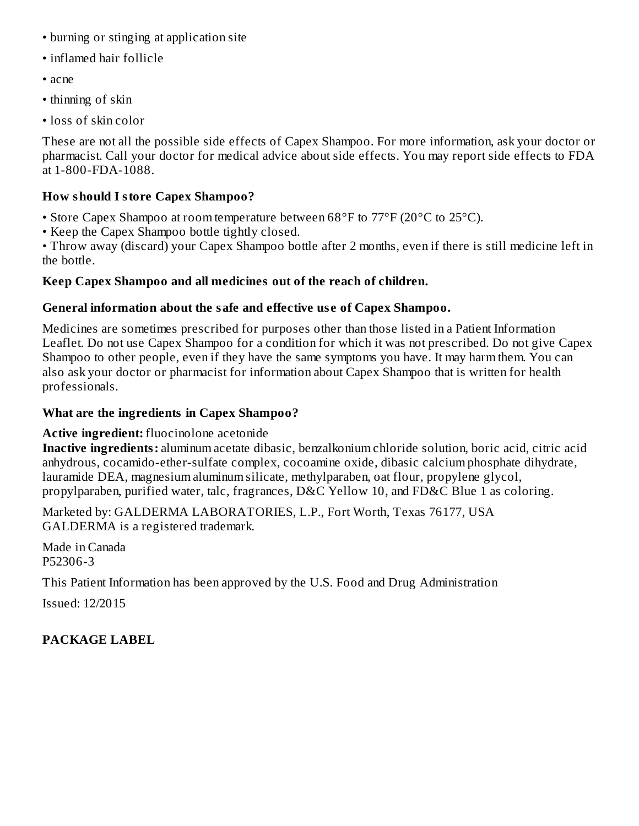- burning or stinging at application site
- inflamed hair follicle
- acne
- thinning of skin
- loss of skin color

These are not all the possible side effects of Capex Shampoo. For more information, ask your doctor or pharmacist. Call your doctor for medical advice about side effects. You may report side effects to FDA at 1-800-FDA-1088.

### **How should I store Capex Shampoo?**

- Store Capex Shampoo at room temperature between 68°F to 77°F (20°C to 25°C).
- Keep the Capex Shampoo bottle tightly closed.

• Throw away (discard) your Capex Shampoo bottle after 2 months, even if there is still medicine left in the bottle.

### **Keep Capex Shampoo and all medicines out of the reach of children.**

### **General information about the safe and effective us e of Capex Shampoo.**

Medicines are sometimes prescribed for purposes other than those listed in a Patient Information Leaflet. Do not use Capex Shampoo for a condition for which it was not prescribed. Do not give Capex Shampoo to other people, even if they have the same symptoms you have. It may harm them. You can also ask your doctor or pharmacist for information about Capex Shampoo that is written for health professionals.

### **What are the ingredients in Capex Shampoo?**

### **Active ingredient:** fluocinolone acetonide

**Inactive ingredients:** aluminum acetate dibasic, benzalkonium chloride solution, boric acid, citric acid anhydrous, cocamido-ether-sulfate complex, cocoamine oxide, dibasic calcium phosphate dihydrate, lauramide DEA, magnesium aluminum silicate, methylparaben, oat flour, propylene glycol, propylparaben, purified water, talc, fragrances, D&C Yellow 10, and FD&C Blue 1 as coloring.

Marketed by: GALDERMA LABORATORIES, L.P., Fort Worth, Texas 76177, USA GALDERMA is a registered trademark.

Made in Canada P52306-3

This Patient Information has been approved by the U.S. Food and Drug Administration

Issued: 12/2015

### **PACKAGE LABEL**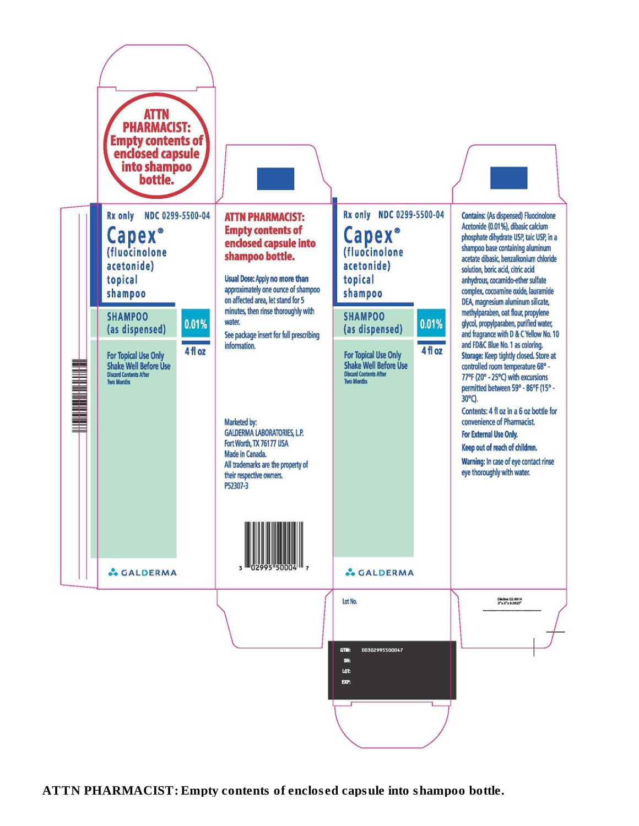

**ATTN PHARMACIST: Empty contents of enclos ed capsule into shampoo bottle.**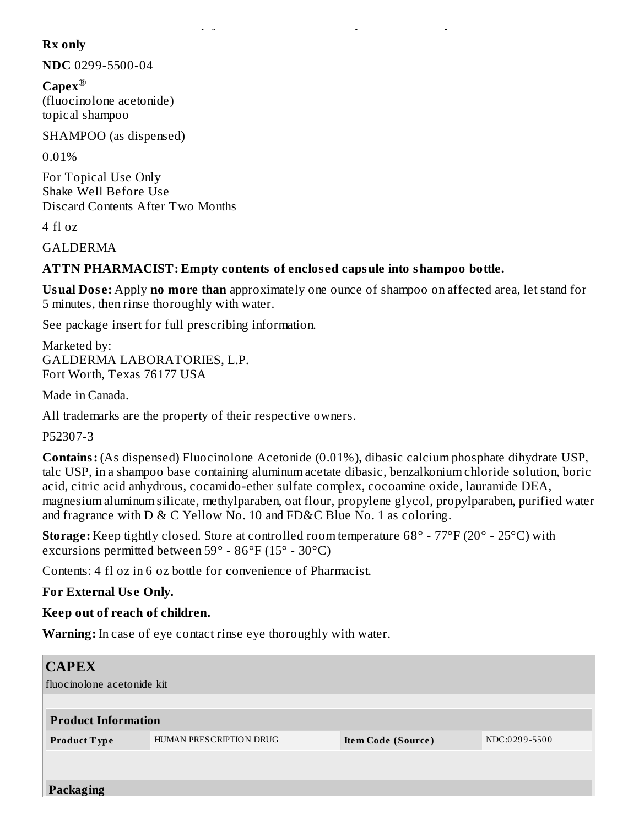#### **Rx only**

**NDC** 0299-5500-04

**Capex** ®(fluocinolone acetonide) topical shampoo

SHAMPOO (as dispensed)

0.01%

For Topical Use Only Shake Well Before Use Discard Contents After Two Months

4 fl oz

GALDERMA

### **ATTN PHARMACIST: Empty contents of enclos ed capsule into shampoo bottle.**

**ATTN PHARMACIST: Empty contents of enclos ed capsule into shampoo bottle.**

**Usual Dos e:** Apply **no more than** approximately one ounce of shampoo on affected area, let stand for 5 minutes, then rinse thoroughly with water.

See package insert for full prescribing information.

Marketed by: GALDERMA LABORATORIES, L.P. Fort Worth, Texas 76177 USA

Made in Canada.

All trademarks are the property of their respective owners.

P52307-3

**Contains:** (As dispensed) Fluocinolone Acetonide (0.01%), dibasic calcium phosphate dihydrate USP, talc USP, in a shampoo base containing aluminum acetate dibasic, benzalkonium chloride solution, boric acid, citric acid anhydrous, cocamido-ether sulfate complex, cocoamine oxide, lauramide DEA, magnesium aluminum silicate, methylparaben, oat flour, propylene glycol, propylparaben, purified water and fragrance with D & C Yellow No. 10 and FD&C Blue No. 1 as coloring.

**Storage:** Keep tightly closed. Store at controlled room temperature 68° - 77°F (20° - 25°C) with excursions permitted between 59° - 86°F (15° - 30°C)

Contents: 4 fl oz in 6 oz bottle for convenience of Pharmacist.

**For External Us e Only.**

**Keep out of reach of children.**

**Warning:** In case of eye contact rinse eye thoroughly with water.

| <b>CAPEX</b>               |                         |                    |               |  |  |  |
|----------------------------|-------------------------|--------------------|---------------|--|--|--|
| fluocinolone acetonide kit |                         |                    |               |  |  |  |
|                            |                         |                    |               |  |  |  |
| <b>Product Information</b> |                         |                    |               |  |  |  |
| Product Type               | HUMAN PRESCRIPTION DRUG | Item Code (Source) | NDC:0299-5500 |  |  |  |
|                            |                         |                    |               |  |  |  |
|                            |                         |                    |               |  |  |  |
| Packaging                  |                         |                    |               |  |  |  |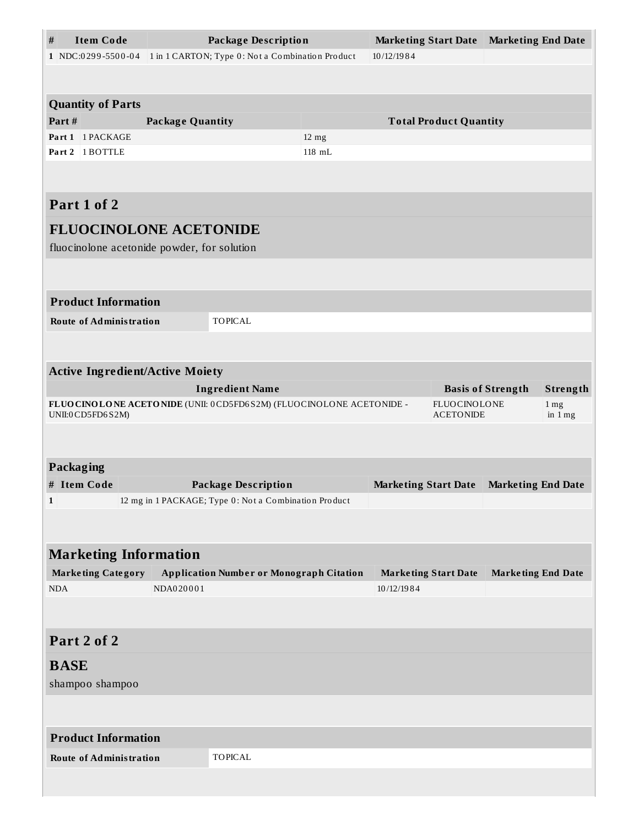| <b>Item Code</b><br>$\#$                                                                  |                                                  | <b>Package Description</b>                            |                 | <b>Marketing Start Date</b>                     |                               | <b>Marketing End Date</b>   |  |
|-------------------------------------------------------------------------------------------|--------------------------------------------------|-------------------------------------------------------|-----------------|-------------------------------------------------|-------------------------------|-----------------------------|--|
| 1 NDC:0299-5500-04                                                                        | 1 in 1 CARTON; Type 0: Not a Combination Product |                                                       | 10/12/1984      |                                                 |                               |                             |  |
|                                                                                           |                                                  |                                                       |                 |                                                 |                               |                             |  |
|                                                                                           |                                                  |                                                       |                 |                                                 |                               |                             |  |
| <b>Quantity of Parts</b>                                                                  |                                                  |                                                       |                 |                                                 |                               |                             |  |
| Part#<br>Part 1 1 PACKAGE                                                                 | <b>Package Quantity</b>                          |                                                       | $12 \text{ mg}$ |                                                 | <b>Total Product Quantity</b> |                             |  |
| 1 BOTTLE<br>Part 2                                                                        |                                                  |                                                       | 118 mL          |                                                 |                               |                             |  |
|                                                                                           |                                                  |                                                       |                 |                                                 |                               |                             |  |
|                                                                                           |                                                  |                                                       |                 |                                                 |                               |                             |  |
| Part 1 of 2                                                                               |                                                  |                                                       |                 |                                                 |                               |                             |  |
| <b>FLUOCINOLONE ACETONIDE</b>                                                             |                                                  |                                                       |                 |                                                 |                               |                             |  |
| fluocinolone acetonide powder, for solution                                               |                                                  |                                                       |                 |                                                 |                               |                             |  |
|                                                                                           |                                                  |                                                       |                 |                                                 |                               |                             |  |
|                                                                                           |                                                  |                                                       |                 |                                                 |                               |                             |  |
| <b>Product Information</b>                                                                |                                                  |                                                       |                 |                                                 |                               |                             |  |
| <b>Route of Administration</b>                                                            |                                                  | <b>TOPICAL</b>                                        |                 |                                                 |                               |                             |  |
|                                                                                           |                                                  |                                                       |                 |                                                 |                               |                             |  |
|                                                                                           |                                                  |                                                       |                 |                                                 |                               |                             |  |
| <b>Active Ingredient/Active Moiety</b>                                                    |                                                  |                                                       |                 |                                                 |                               |                             |  |
|                                                                                           |                                                  | <b>Ingredient Name</b>                                |                 | <b>Basis of Strength</b><br><b>FLUOCINOLONE</b> |                               | Strength<br>1 <sub>mg</sub> |  |
| FLUOCINOLONE ACETONIDE (UNII: 0CD5FD6S2M) (FLUOCINOLONE ACETONIDE -<br>UNII:0 CD5FD6 S2M) |                                                  |                                                       |                 | <b>ACETONIDE</b><br>in $1mg$                    |                               |                             |  |
|                                                                                           |                                                  |                                                       |                 |                                                 |                               |                             |  |
|                                                                                           |                                                  |                                                       |                 |                                                 |                               |                             |  |
| <b>Packaging</b>                                                                          |                                                  |                                                       |                 |                                                 |                               |                             |  |
| # Item Code                                                                               |                                                  | <b>Package Description</b>                            |                 | <b>Marketing Start Date</b>                     |                               | <b>Marketing End Date</b>   |  |
| $\mathbf{1}$                                                                              |                                                  | 12 mg in 1 PACKAGE; Type 0: Not a Combination Product |                 |                                                 |                               |                             |  |
|                                                                                           |                                                  |                                                       |                 |                                                 |                               |                             |  |
| <b>Marketing Information</b>                                                              |                                                  |                                                       |                 |                                                 |                               |                             |  |
| <b>Marketing Category</b>                                                                 |                                                  | <b>Application Number or Monograph Citation</b>       |                 | <b>Marketing Start Date</b>                     |                               | <b>Marketing End Date</b>   |  |
| <b>NDA</b>                                                                                | NDA020001                                        |                                                       |                 | 10/12/1984                                      |                               |                             |  |
|                                                                                           |                                                  |                                                       |                 |                                                 |                               |                             |  |
|                                                                                           |                                                  |                                                       |                 |                                                 |                               |                             |  |
| Part 2 of 2                                                                               |                                                  |                                                       |                 |                                                 |                               |                             |  |
| <b>BASE</b>                                                                               |                                                  |                                                       |                 |                                                 |                               |                             |  |
| shampoo shampoo                                                                           |                                                  |                                                       |                 |                                                 |                               |                             |  |
|                                                                                           |                                                  |                                                       |                 |                                                 |                               |                             |  |
|                                                                                           |                                                  |                                                       |                 |                                                 |                               |                             |  |
| <b>Product Information</b>                                                                |                                                  |                                                       |                 |                                                 |                               |                             |  |
| <b>Route of Administration</b>                                                            |                                                  | <b>TOPICAL</b>                                        |                 |                                                 |                               |                             |  |
|                                                                                           |                                                  |                                                       |                 |                                                 |                               |                             |  |
|                                                                                           |                                                  |                                                       |                 |                                                 |                               |                             |  |